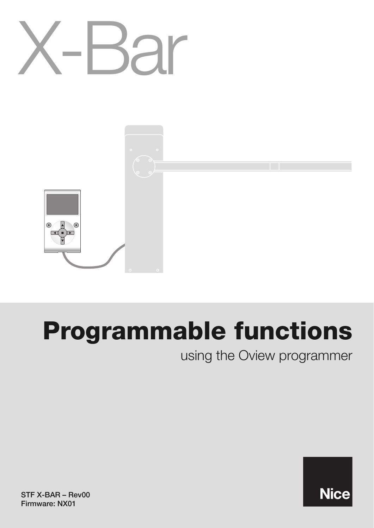

# **Programmable functions**

using the Oview programmer

**Nice** 

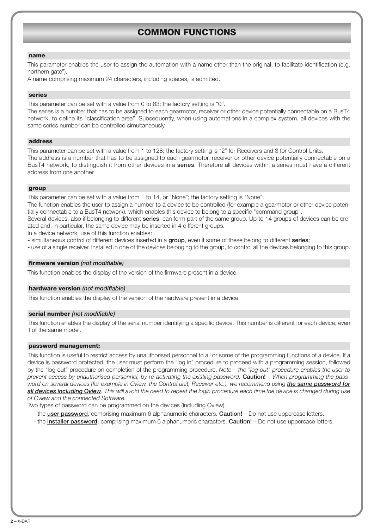# **COMMON FUNCTIONS**

#### **name**

This parameter enables the user to assign the automation with a name other than the original, to facilitate identification (e.g. northern gate").

A name comprising maximum 24 characters, including spaces, is admitted.

#### **series**

This parameter can be set with a value from 0 to 63; the factory setting is "0".

The series is a number that has to be assigned to each gearmotor, receiver or other device potentially connectable on a BusT4 network, to define its "classification area". Subsequently, when using automations in a complex system, all devices with the same series number can be controlled simultaneously.

#### **address**

This parameter can be set with a value from 1 to 128; the factory setting is "2" for Receivers and 3 for Control Units. The address is a number that has to be assigned to each gearmotor, receiver or other device potentially connectable on a BusT4 network, to distinguish it from other devices in a **series**. Therefore all devices within a series must have a different address from one another.

#### **group**

This parameter can be set with a value from 1 to 14, or "None"; the factory setting is "None".

The function enables the user to assign a number to a device to be controlled (for example a gearmotor or other device potentially connectable to a BusT4 network), which enables this device to belong to a specific "command group".

Several devices, also if belonging to different **series**, can form part of the same group. Up to 14 groups of devices can be created and, in particular, the same device may be inserted in 4 different groups.

In a device network, use of this function enables:

**-** simultaneous control of different devices inserted in a **group**, even if some of these belong to different **series**;

**-** use of a single receiver, installed in one of the devices belonging to the group, to control all the devices belonging to this group.

#### **firmware version** *(not modifiable)*

This function enables the display of the version of the firmware present in a device.

#### **hardware version** *(not modifiable)*

This function enables the display of the version of the hardware present in a device.

#### **serial number** *(not modifiable)*

This function enables the display of the serial number identifying a specific device. This number is different for each device, even if of the same model.

#### **password management:**

This function is useful to restrict access by unauthorised personnel to all or some of the programming functions of a device. If a device is password protected, the user must perform the "log in" procedure to proceed with a programming session, followed by the "log out" procedure on completion of the programming procedure. *Note – the "log out" procedure enables the user to prevent access by unauthorised personnel, by re-activating the existing password.* **Caution!** – *When programming the password on several devices (for example in Oview, the Control unit, Receiver etc.), we recommend using the same password for all devices including Oview. This will avoid the need to repeat the login procedure each time the device is changed during use of Oview and the connected Software.*

Two types of password can be programmed on the devices (including Oview).

- the **user password**, comprising maximum 6 alphanumeric characters. **Caution!** Do not use uppercase letters.
- the **installer password**, comprising maximum 6 alphanumeric characters. **Caution!** Do not use uppercase letters.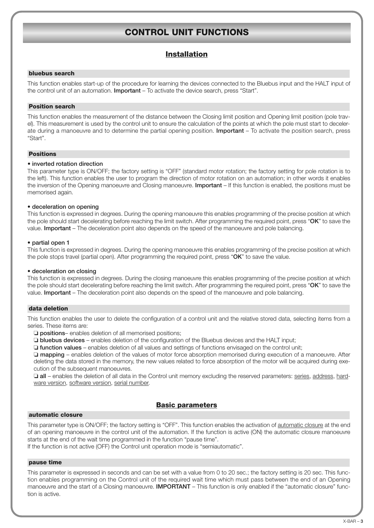## **CONTROL UNIT FUNCTIONS**

## **Installation**

#### **bluebus search**

This function enables start-up of the procedure for learning the devices connected to the Bluebus input and the HALT input of the control unit of an automation. **Important** – To activate the device search, press "Start".

## **Position search**

This function enables the measurement of the distance between the Closing limit position and Opening limit position (pole travel). This measurement is used by the control unit to ensure the calculation of the points at which the pole must start to decelerate during a manoeuvre and to determine the partial opening position. **Important** – To activate the position search, press "Start".

#### **Positions**

#### • **inverted rotation direction**

This parameter type is ON/OFF; the factory setting is "OFF" (standard motor rotation; the factory setting for pole rotation is to the left). This function enables the user to program the direction of motor rotation on an automation; in other words it enables the inversion of the Opening manoeuvre and Closing manoeuvre. **Important** – If this function is enabled, the positions must be memorised again.

#### • **deceleration on opening**

This function is expressed in degrees. During the opening manoeuvre this enables programming of the precise position at which the pole should start decelerating before reaching the limit switch. After programming the required point, press "**OK**" to save the value. **Important** – The deceleration point also depends on the speed of the manoeuvre and pole balancing.

#### • **partial open 1**

This function is expressed in degrees. During the opening manoeuvre this enables programming of the precise position at which the pole stops travel (partial open). After programming the required point, press "**OK**" to save the value.

#### • **deceleration on closing**

This function is expressed in degrees. During the closing manoeuvre this enables programming of the precise position at which the pole should start decelerating before reaching the limit switch. After programming the required point, press "**OK**" to save the value. **Important** – The deceleration point also depends on the speed of the manoeuvre and pole balancing.

#### **data deletion**

This function enables the user to delete the configuration of a control unit and the relative stored data, selecting items from a series. These items are:

❏ **positions**– enables deletion of all memorised positions;

❏ **bluebus devices** – enables deletion of the configuration of the Bluebus devices and the HALT input;

❏ **function values** – enables deletion of all values and settings of functions envisaged on the control unit;

❏ **mapping** – enables deletion of the values of motor force absorption memorised during execution of a manoeuvre. After deleting the data stored in the memory, the new values related to force absorption of the motor will be acquired during execution of the subsequent manoeuvres.

❏ **all** – enables the deletion of all data in the Control unit memory excluding the reserved parameters: series, address, hardware version, software version, serial number.

## **Basic parameters**

#### **automatic closure**

This parameter type is ON/OFF; the factory setting is "OFF". This function enables the activation of automatic closure at the end of an opening manoeuvre in the control unit of the automation. If the function is active (ON) the automatic closure manoeuvre starts at the end of the wait time programmed in the function "pause time".

If the function is not active (OFF) the Control unit operation mode is "semiautomatic".

#### **pause time**

This parameter is expressed in seconds and can be set with a value from 0 to 20 sec.; the factory setting is 20 sec. This function enables programming on the Control unit of the required wait time which must pass between the end of an Opening manoeuvre and the start of a Closing manoeuvre. **IMPORTANT** – This function is only enabled if the "automatic closure" function is active.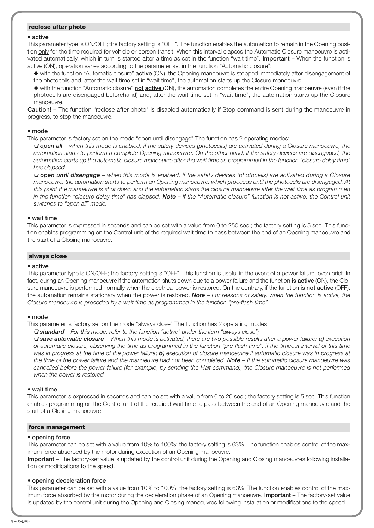## **reclose after photo**

#### • **active**

This parameter type is ON/OFF; the factory setting is "OFF". The function enables the automation to remain in the Opening position only for the time required for vehicle or person transit. When this interval elapses the Automatic Closure manoeuvre is activated automatically, which in turn is started after a time as set in the function "wait time". **Important** – When the function is active (ON), operation varies according to the parameter set in the function "Automatic closure":

◆ with the function "Automatic closure" **active** (ON), the Opening manoeuvre is stopped immediately after disengagement of the photocells and, after the wait time set in "wait time", the automation starts up the Closure manoeuvre.

◆ with the function "Automatic closure" **not active** (ON), the automation completes the entire Opening manoeuvre (even if the photocells are disengaged beforehand) and, after the wait time set in "wait time", the automation starts up the Closure manoeuvre.

**Caution!** – The function "reclose after photo" is disabled automatically if Stop command is sent during the manoeuvre in progress, to stop the manoeuvre.

#### • **mode**

This parameter is factory set on the mode "open until disengage" The function has 2 operating modes:

❏ *open all – when this mode is enabled, if the safety devices (photocells) are activated during a Closure manoeuvre, the automation starts to perform a complete Opening manoeuvre. On the other hand, if the safety devices are disengaged, the automation starts up the automatic closure manoeuvre after the wait time as programmed in the function "closure delay time" has elapsed.*

❏ *open until disengage – when this mode is enabled, if the safety devices (photocells) are activated during a Closure manoeuvre, the automation starts to perform an Opening manoeuvre, which proceeds until the photocells are disengaged. At this point the manoeuvre is shut down and the automation starts the closure manoeuvre after the wait time as programmed in the function "closure delay time" has elapsed. Note – If the "Automatic closure" function is not active, the Control unit switches to "open all" mode.*

#### • **wait time**

This parameter is expressed in seconds and can be set with a value from 0 to 250 sec.; the factory setting is 5 sec. This function enables programming on the Control unit of the required wait time to pass between the end of an Opening manoeuvre and the start of a Closing manoeuvre.

#### **always close**

#### • **active**

This parameter type is ON/OFF; the factory setting is "OFF". This function is useful in the event of a power failure, even brief. In fact, during an Opening manoeuvre if the automation shuts down due to a power failure and the function **is active** (ON), the Closure manoeuvre is performed normally when the electrical power is restored. On the contrary, if the function **is not active** (OFF), the automation remains stationary when the power is restored. *Note – For reasons of safety, when the function is active, the Closure manoeuvre is preceded by a wait time as programmed in the function "pre-flash time".*

#### • **mode**

This parameter is factory set on the mode "always close" The function has 2 operating modes:

❏ *standard – For this mode, refer to the function "active" under the item "always close";*

❏ *save automatic closure – When this mode is activated, there are two possible results after a power failure: a) execution of automatic closure, observing the time as programmed in the function "pre-flash time", if the timeout interval of this time was in progress at the time of the power failure; b) execution of closure manoeuvre if automatic closure was in progress at the time of the power failure and the manoeuvre had not been completed. Note – If the automatic closure manoeuvre was cancelled before the power failure (for example, by sending the Halt command), the Closure manoeuvre is not performed when the power is restored.*

#### • **wait time**

This parameter is expressed in seconds and can be set with a value from 0 to 20 sec.; the factory setting is 5 sec. This function enables programming on the Control unit of the required wait time to pass between the end of an Opening manoeuvre and the start of a Closing manoeuvre.

#### **force management**

#### • **opening force**

This parameter can be set with a value from 10% to 100%; the factory setting is 63%. The function enables control of the maximum force absorbed by the motor during execution of an Opening manoeuvre.

**Important** – The factory-set value is updated by the control unit during the Opening and Closing manoeuvres following installation or modifications to the speed.

#### • **opening deceleration force**

This parameter can be set with a value from 10% to 100%; the factory setting is 63%. The function enables control of the maximum force absorbed by the motor during the deceleration phase of an Opening manoeuvre. **Important** – The factory-set value is updated by the control unit during the Opening and Closing manoeuvres following installation or modifications to the speed.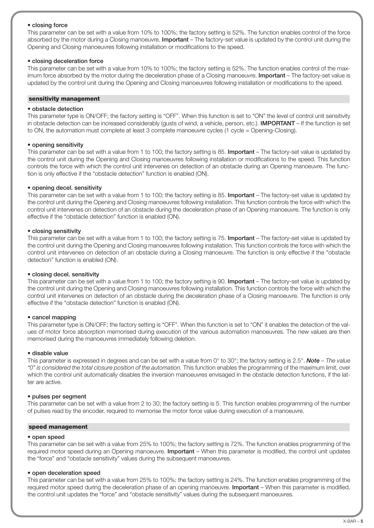#### • **closing force**

This parameter can be set with a value from 10% to 100%; the factory setting is 52%. The function enables control of the force absorbed by the motor during a Closing manoeuvre. **Important** – The factory-set value is updated by the control unit during the Opening and Closing manoeuvres following installation or modifications to the speed.

#### • **closing deceleration force**

This parameter can be set with a value from 10% to 100%; the factory setting is 52%. The function enables control of the maximum force absorbed by the motor during the deceleration phase of a Closing manoeuvre. **Important** – The factory-set value is updated by the control unit during the Opening and Closing manoeuvres following installation or modifications to the speed.

#### **sensitivity management**

#### • **obstacle detection**

This parameter type is ON/OFF; the factory setting is "OFF". When this function is set to "ON" the level of control unit sensitivity in obstacle detection can be increased considerably (gusts of wind, a vehicle, person, etc.). **IMPORTANT** – If the function is set to ON, the automation must complete at least 3 complete manoeuvre cycles (1 cycle = Opening-Closing).

#### • **opening sensitivity**

This parameter can be set with a value from 1 to 100; the factory setting is 85. **Important** – The factory-set value is updated by the control unit during the Opening and Closing manoeuvres following installation or modifications to the speed. This function controls the force with which the control unit intervenes on detection of an obstacle during an Opening manoeuvre. The function is only effective if the "obstacle detection" function is enabled (ON).

#### • **opening decel. sensitivity**

This parameter can be set with a value from 1 to 100; the factory setting is 85. **Important** – The factory-set value is updated by the control unit during the Opening and Closing manoeuvres following installation. This function controls the force with which the control unit intervenes on detection of an obstacle during the deceleration phase of an Opening manoeuvre. The function is only effective if the "obstacle detection" function is enabled (ON).

#### • **closing sensitivity**

This parameter can be set with a value from 1 to 100; the factory setting is 75. **Important** – The factory-set value is updated by the control unit during the Opening and Closing manoeuvres following installation. This function controls the force with which the control unit intervenes on detection of an obstacle during a Closing manoeuvre. The function is only effective if the "obstacle detection" function is enabled (ON).

#### • **closing decel. sensitivity**

This parameter can be set with a value from 1 to 100; the factory setting is 90. **Important** – The factory-set value is updated by the control unit during the Opening and Closing manoeuvres following installation. This function controls the force with which the control unit intervenes on detection of an obstacle during the deceleration phase of a Closing manoeuvre. The function is only effective if the "obstacle detection" function is enabled (ON).

#### • **cancel mapping**

This parameter type is ON/OFF; the factory setting is "OFF". When this function is set to "ON" it enables the detection of the values of motor force absorption memorised during execution of the various automation manoeuvres. The new values are then memorised during the manoeuvres immediately following deletion.

#### • **disable value**

This parameter is expressed in degrees and can be set with a value from 0° to 30°; the factory setting is 2.5°. *Note – The value "0" is considered the total closure position of the automation.* This function enables the programming of the maximum limit, over which the control unit automatically disables the inversion manoeuvres envisaged in the obstacle detection functions, if the latter are active.

#### • **pulses per segment**

This parameter can be set with a value from 2 to 30; the factory setting is 5. This function enables programming of the number of pulses read by the encoder, required to memorise the motor force value during execution of a manoeuvre.

#### **speed management**

#### • **open speed**

This parameter can be set with a value from 25% to 100%; the factory setting is 72%. The function enables programming of the required motor speed during an Opening manoeuvre. **Important** – When this parameter is modified, the control unit updates the "force" and "obstacle sensitivity" values during the subsequent manoeuvres.

#### • **open deceleration speed**

This parameter can be set with a value from 25% to 100%; the factory setting is 24%. The function enables programming of the required motor speed during the deceleration phase of an opening manoeuvre. **Important** – When this parameter is modified, the control unit updates the "force" and "obstacle sensitivity" values during the subsequent manoeuvres.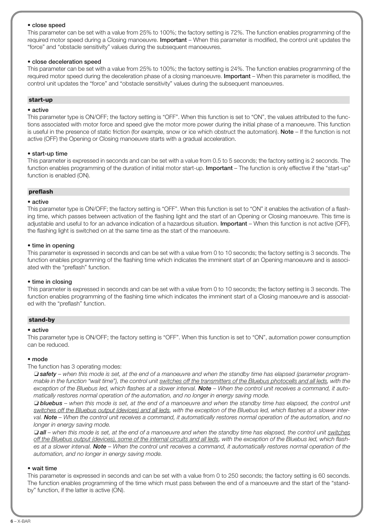#### • **close speed**

This parameter can be set with a value from 25% to 100%; the factory setting is 72%. The function enables programming of the required motor speed during a Closing manoeuvre. **Important** – When this parameter is modified, the control unit updates the "force" and "obstacle sensitivity" values during the subsequent manoeuvres.

#### • **close deceleration speed**

This parameter can be set with a value from 25% to 100%; the factory setting is 24%. The function enables programming of the required motor speed during the deceleration phase of a closing manoeuvre. **Important** – When this parameter is modified, the control unit updates the "force" and "obstacle sensitivity" values during the subsequent manoeuvres.

#### **start-up**

#### • **active**

This parameter type is ON/OFF; the factory setting is "OFF". When this function is set to "ON", the values attributed to the functions associated with motor force and speed give the motor more power during the initial phase of a manoeuvre. This function is useful in the presence of static friction (for example, snow or ice which obstruct the automation). **Note** – If the function is not active (OFF) the Opening or Closing manoeuvre starts with a gradual acceleration.

#### • **start-up time**

This parameter is expressed in seconds and can be set with a value from 0.5 to 5 seconds; the factory setting is 2 seconds. The function enables programming of the duration of initial motor start-up. **Important** – The function is only effective if the "start-up" function is enabled (ON).

#### **preflash**

#### • **active**

This parameter type is ON/OFF; the factory setting is "OFF". When this function is set to "ON" it enables the activation of a flashing time, which passes between activation of the flashing light and the start of an Opening or Closing manoeuvre. This time is adjustable and useful to for an advance indication of a hazardous situation. **Important** – When this function is not active (OFF), the flashing light is switched on at the same time as the start of the manoeuvre.

#### • **time in opening**

This parameter is expressed in seconds and can be set with a value from 0 to 10 seconds; the factory setting is 3 seconds. The function enables programming of the flashing time which indicates the imminent start of an Opening manoeuvre and is associated with the "preflash" function.

#### • **time in closing**

This parameter is expressed in seconds and can be set with a value from 0 to 10 seconds; the factory setting is 3 seconds. The function enables programming of the flashing time which indicates the imminent start of a Closing manoeuvre and is associated with the "preflash" function.

#### **stand-by**

#### • **active**

This parameter type is ON/OFF; the factory setting is "OFF". When this function is set to "ON", automation power consumption can be reduced.

#### • **mode**

The function has 3 operating modes:

❏ *safety – when this mode is set, at the end of a manoeuvre and when the standby time has elapsed (parameter programmable in the function "wait time"), the control unit switches off the transmitters of the Bluebus photocells and all leds, with the* exception of the Bluebus led, which flashes at a slower interval. **Note** – When the control unit receives a command, it auto*matically restores normal operation of the automation, and no longer in energy saving mode.*

❏ *bluebus – when this mode is set, at the end of a manoeuvre and when the standby time has elapsed, the control unit switches off the Bluebus output (devices) and all leds, with the exception of the Bluebus led, which flashes at a slower interval. Note – When the control unit receives a command, it automatically restores normal operation of the automation, and no longer in energy saving mode.*

❏ *all – when this mode is set, at the end of a manoeuvre and when the standby time has elapsed, the control unit switches off the Bluebus output (devices), some of the internal circuits and all leds, with the exception of the Bluebus led, which flashes at a slower interval. Note – When the control unit receives a command, it automatically restores normal operation of the automation, and no longer in energy saving mode.*

#### • **wait time**

This parameter is expressed in seconds and can be set with a value from 0 to 250 seconds; the factory setting is 60 seconds. The function enables programming of the time which must pass between the end of a manoeuvre and the start of the "standby" function, if the latter is active (ON).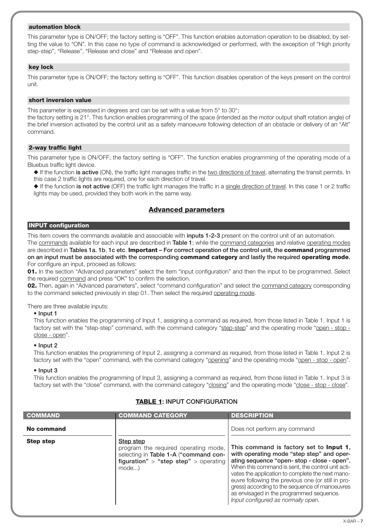#### **automation block**

This parameter type is ON/OFF; the factory setting is "OFF". This function enables automation operation to be disabled, by setting the value to "ON". In this case no type of command is acknowledged or performed, with the exception of "High priority step-step", "Release", "Release and close" and "Release and open".

#### **key lock**

This parameter type is ON/OFF; the factory setting is "OFF". This function disables operation of the keys present on the control unit.

#### **short inversion value**

This parameter is expressed in degrees and can be set with a value from 5° to 30°;

the factory setting is 21°. This function enables programming of the space (intended as the motor output shaft rotation angle) of the brief inversion activated by the control unit as a safety manoeuvre following detection of an obstacle or delivery of an "Alt" command.

## **2-way traffic light**

This parameter type is ON/OFF; the factory setting is "OFF". The function enables programming of the operating mode of a Bluebus traffic light device.

◆ If the function **is active** (ON), the traffic light manages traffic in the two directions of travel, alternating the transit permits. In this case 2 traffic lights are required, one for each direction of travel.

◆ If the function **is not active** (OFF) the traffic light manages the traffic in a single direction of travel. In this case 1 or 2 traffic lights may be used, provided they both work in the same way.

## **Advanced parameters**

## **INPUT configuration**

This item covers the commands available and associable with **inputs 1-2-3** present on the control unit of an automation.

The commands available for each input are described in **Table 1**; while the command categories and relative operating modes are described in **Tables 1a**, **1b**, **1c etc**. **Important – For correct operation of the control unit, the command programmed on an input must be associated with the corresponding command category and lastly the required operating mode.** For configure an input, proceed as follows:

**01.** In the section "Advanced parameters" select the item "input configuration" and then the input to be programmed. Select the required command and press "OK" to confirm the selection.

**02.** Then, again in "Advanced parameters", select "command configuration" and select the command category corresponding to the command selected previously in step 01. Then select the required operating mode.

#### There are three available inputs:

#### • **Input 1**

This function enables the programming of Input 1, assigning a command as required, from those listed in Table 1. Input 1 is factory set with the "step-step" command, with the command category "step-step" and the operating mode "open - stop close - open".

## • **Input 2**

This function enables the programming of Input 2, assigning a command as required, from those listed in Table 1. Input 2 is factory set with the "open" command, with the command category "opening" and the operating mode "open - stop - open".

#### • **Input 3**

This function enables the programming of Input 3, assigning a command as required, from those listed in Table 1. Input 3 is factory set with the "close" command, with the command category "closing" and the operating mode "close - stop - close".

| <b>COMMAND</b>   | <b>COMMAND CATEGORY</b>                                                                                                                     | <b>DESCRIPTION</b>                                                                                                                                                                                                                                                                                                                                                                                                                            |
|------------------|---------------------------------------------------------------------------------------------------------------------------------------------|-----------------------------------------------------------------------------------------------------------------------------------------------------------------------------------------------------------------------------------------------------------------------------------------------------------------------------------------------------------------------------------------------------------------------------------------------|
| No command       |                                                                                                                                             | Does not perform any command                                                                                                                                                                                                                                                                                                                                                                                                                  |
| <b>Step step</b> | Step step<br>program the required operating mode,<br>selecting in Table 1-A ("command con-<br>figuration" > "step step" > operating<br>mode | This command is factory set to <b>Input 1</b> ,<br>with operating mode "step step" and oper-<br>ating sequence "open-stop - close - open".<br>When this command is sent, the control unit acti-<br>vates the application to complete the next mano-<br>euvre following the previous one (or still in pro-<br>gress) according to the sequence of manoeuvres<br>as envisaged in the programmed sequence.<br>Input configured as normally open. |

## **TABLE 1: INPUT CONFIGURATION**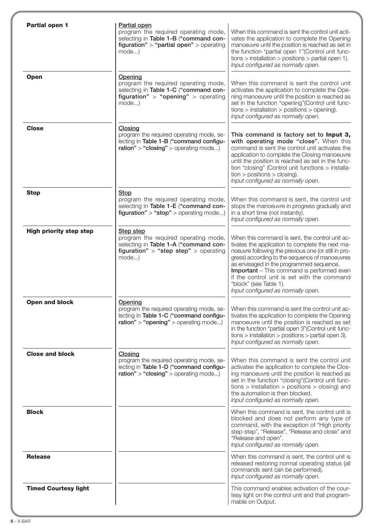| <b>Partial open 1</b>          | Partial open                                                                                                                                    |                                                                                                                                                                                                                                                                                                                                                                                                                        |
|--------------------------------|-------------------------------------------------------------------------------------------------------------------------------------------------|------------------------------------------------------------------------------------------------------------------------------------------------------------------------------------------------------------------------------------------------------------------------------------------------------------------------------------------------------------------------------------------------------------------------|
|                                | program the required operating mode,<br>selecting in Table 1-B ("command con-<br>figuration" > "partial open" > operating<br>mode)              | When this command is sent the control unit acti-<br>vates the application to complete the Opening<br>manoeuvre until the position is reached as set in<br>the function "partial open 1"(Control unit func-<br>$tions$ > installation > positions > partial open 1).<br>Input configured as normally open.                                                                                                              |
| <b>Open</b>                    | Opening<br>program the required operating mode,<br>selecting in Table 1-C ("command con-<br>figuration" > "opening" > operating<br>mode)        | When this command is sent the control unit<br>activates the application to complete the Ope-<br>ning manoeuvre until the position is reached as<br>set in the function "opening" (Control unit func-<br>$tions$ > installation > positions > opening).<br>Input configured as normally open.                                                                                                                           |
| <b>Close</b>                   | Closing<br>program the required operating mode, se-<br>lecting in Table 1-B ("command configu-<br>$ration" > "closing" > operating mode$        | This command is factory set to Input 3,<br>with operating mode "close". When this<br>command is sent the control unit activates the<br>application to complete the Closing manoeuvre<br>until the position is reached as set in the func-<br>tion "closing" (Control unit functions > installa-<br>$tion > positions > closing$ ).<br>Input configured as normally open.                                               |
| <b>Stop</b>                    | Stop<br>program the required operating mode,<br>selecting in Table 1-E ("command con-<br>figuration" > "stop" > operating mode)                 | When this command is sent, the control unit<br>stops the manoeuvre in progress gradually and<br>in a short time (not instantly).<br>Input configured as normally open.                                                                                                                                                                                                                                                 |
| <b>High priority step step</b> | Step step<br>program the required operating mode,<br>selecting in Table 1-A ("command con-<br>figuration" > "step step" > operating<br>$mode$ ) | When this command is sent, the control unit ac-<br>tivates the application to complete the next ma-<br>noeuvre following the previous one (or still in pro-<br>gress) according to the sequence of manoeuvres<br>as envisaged in the programmed sequence.<br>Important - This command is performed even<br>if the control unit is set with the command<br>"block" (see Table 1).<br>Input configured as normally open. |
| <b>Open and block</b>          | Opening<br>program the required operating mode, se-<br>lecting in Table 1-C ("command configu-<br>$ration" > "opening" > operating mode$        | When this command is sent the control unit ac-<br>tivates the application to complete the Opening<br>manoeuvre until the position is reached as set<br>in the function "partial open 3" (Control unit func-<br>$tions$ > installation > positions > partial open 3).<br>Input configured as normally open.                                                                                                             |
| <b>Close and block</b>         | Closing<br>program the required operating mode, se-<br>lecting in Table 1-D ("command configu-<br>$ration" > "closing" > operating mode$        | When this command is sent the control unit<br>activates the application to complete the Clos-<br>ing manoeuvre until the position is reached as<br>set in the function "closing"(Control unit func-<br>$tions$ > installation > positions > closing) and<br>the automation is then blocked.<br>Input configured as normally open.                                                                                      |
| <b>Block</b>                   |                                                                                                                                                 | When this command is sent, the control unit is<br>blocked and does not perform any type of<br>command, with the exception of "High priority<br>step-step", "Release", "Release and close" and<br>"Release and open".<br>Input configured as normally open.                                                                                                                                                             |
| <b>Release</b>                 |                                                                                                                                                 | When this command is sent, the control unit is<br>released restoring normal operating status (all<br>commands sent can be performed).<br>Input configured as normally open.                                                                                                                                                                                                                                            |
| <b>Timed Courtesy light</b>    |                                                                                                                                                 | This command enables activation of the cour-<br>tesy light on the control unit and that program-<br>mable on Output.                                                                                                                                                                                                                                                                                                   |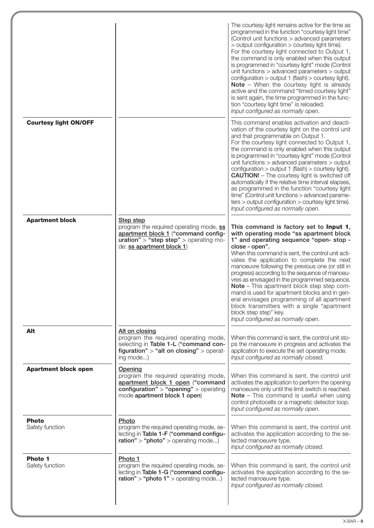|                                 |                                                                                                                                                                    | The courtesy light remains active for the time as<br>programmed in the function "courtesy light time"<br>(Control unit functions > advanced parameters<br>> output configuration > courtesy light time).<br>For the courtesy light connected to Output 1,<br>the command is only enabled when this output<br>is programmed in "courtesy light" mode (Control<br>unit functions > advanced parameters > output<br>configuration > output 1 (flash) > courtesy light).<br>Note - When the courtesy light is already<br>active and the command "timed courtesy light"<br>is sent again, the time programmed in the func-<br>tion "courtesy light time" is reloaded.<br>Input configured as normally open.                  |
|---------------------------------|--------------------------------------------------------------------------------------------------------------------------------------------------------------------|-------------------------------------------------------------------------------------------------------------------------------------------------------------------------------------------------------------------------------------------------------------------------------------------------------------------------------------------------------------------------------------------------------------------------------------------------------------------------------------------------------------------------------------------------------------------------------------------------------------------------------------------------------------------------------------------------------------------------|
| <b>Courtesy light ON/OFF</b>    |                                                                                                                                                                    | This command enables activation and deacti-<br>vation of the courtesy light on the control unit<br>and that programmable on Output 1.<br>For the courtesy light connected to Output 1,<br>the command is only enabled when this output<br>is programmed in "courtesy light" mode (Control<br>unit functions > advanced parameters > output<br>configuration > output 1 (flash) > courtesy light).<br><b>CAUTION!</b> - The courtesy light is switched off<br>automatically if the relative time interval elapses,<br>as programmed in the function "courtesy light<br>time" (Control unit functions > advanced parame-<br>$ters >$ output configuration $>$ courtesy light time).<br>Input configured as normally open. |
| <b>Apartment block</b>          | Step step<br>program the required operating mode, ss<br>apartment block 1 ("command config-<br>uration" > "step step" > operating mo-<br>de: ss apartment block 1) | This command is factory set to Input 1,<br>with operating mode "ss apartment block<br>1" and operating sequence "open- stop -<br>close - open".<br>When this command is sent, the control unit acti-<br>vates the application to complete the next<br>manoeuvre following the previous one (or still in<br>progress) according to the sequence of manoeu-<br>vres as envisaged in the programmed sequence.<br>Note - This apartment block step step com-<br>mand is used for apartment blocks and in gen-<br>eral envisages programming of all apartment<br>block transmitters with a single "apartment<br>block step step" key.<br>Input configured as normally open.                                                  |
| Alt                             | Alt on closing<br>program the required operating mode,<br>selecting in Table 1-L ("command con-<br>figuration" $>$ "alt on closing" $>$ operat-<br>ing mode)       | When this command is sent, the control unit sto-<br>ps the manoeuvre in progress and activates the<br>application to execute the set operating mode.<br>Input configured as normally closed.                                                                                                                                                                                                                                                                                                                                                                                                                                                                                                                            |
| <b>Apartment block open</b>     | Opening<br>program the required operating mode,<br>apartment block 1 open ("command<br>configuration" > "opening" > operating<br>mode apartment block 1 open)      | When this command is sent, the control unit<br>activates the application to perform the opening<br>manoeuvre only until the limit switch is reached.<br>Note - This command is useful when using<br>control photocells or a magnetic detector loop.<br>Input configured as normally open.                                                                                                                                                                                                                                                                                                                                                                                                                               |
| <b>Photo</b><br>Safety function | Photo<br>program the required operating mode, se-<br>lecting in Table 1-F ("command configu-<br>$rational" > "photo" > operating mode$                             | When this command is sent, the control unit<br>activates the application according to the se-<br>lected manoeuvre type.<br>Input configured as normally closed.                                                                                                                                                                                                                                                                                                                                                                                                                                                                                                                                                         |
| Photo 1<br>Safety function      | Photo 1<br>program the required operating mode, se-<br>lecting in Table 1-G ("command configu-<br>$ration" > "photo 1" > operating mode)$                          | When this command is sent, the control unit<br>activates the application according to the se-<br>lected manoeuvre type.<br>Input configured as normally closed.                                                                                                                                                                                                                                                                                                                                                                                                                                                                                                                                                         |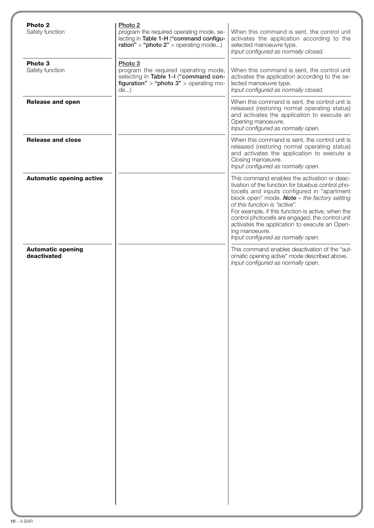| Photo <sub>2</sub><br>Safety function | Photo <sub>2</sub><br>program the required operating mode, se-<br>lecting in Table 1-H ("command configu-<br>$ration" > "photo 2" > operating mode)$ | When this command is sent, the control unit<br>activates the application according to the<br>selected manoeuvre type.<br>Input configured as normally closed.                                                                                                                                                                                                                                                                                                |
|---------------------------------------|------------------------------------------------------------------------------------------------------------------------------------------------------|--------------------------------------------------------------------------------------------------------------------------------------------------------------------------------------------------------------------------------------------------------------------------------------------------------------------------------------------------------------------------------------------------------------------------------------------------------------|
| Photo 3<br>Safety function            | Photo 3<br>program the required operating mode,<br>selecting in Table 1-I ("command con-<br>figuration" > "photo $3"$ > operating mo-<br>$de$ )      | When this command is sent, the control unit<br>activates the application according to the se-<br>lected manoeuvre type.<br>Input configured as normally closed.                                                                                                                                                                                                                                                                                              |
| <b>Release and open</b>               |                                                                                                                                                      | When this command is sent, the control unit is<br>released (restoring normal operating status)<br>and activates the application to execute an<br>Opening manoeuvre.<br>Input configured as normally open.                                                                                                                                                                                                                                                    |
| <b>Release and close</b>              |                                                                                                                                                      | When this command is sent, the control unit is<br>released (restoring normal operating status)<br>and activates the application to execute a<br>Closing manoeuvre.<br>Input configured as normally open.                                                                                                                                                                                                                                                     |
| <b>Automatic opening active</b>       |                                                                                                                                                      | This command enables the activation or deac-<br>tivation of the function for bluebus control pho-<br>tocells and inputs configured in "apartment<br>block open" mode. <b>Note</b> $-$ the factory setting<br>of this function is "active".<br>For example, if this function is active, when the<br>control photocells are engaged, the control unit<br>activates the application to execute an Open-<br>ing manoeuvre.<br>Input configured as normally open. |
| deactivated                           |                                                                                                                                                      | omatic opening active" mode described above.<br>Input configured as normally open.                                                                                                                                                                                                                                                                                                                                                                           |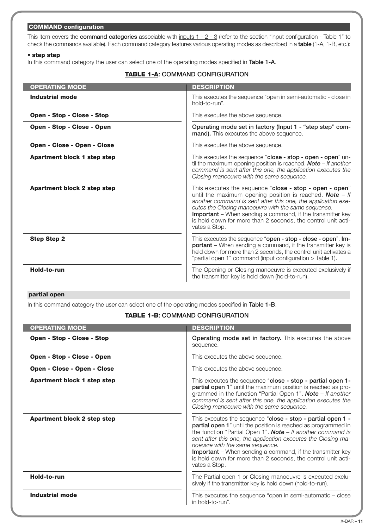## **COMMAND configuration**

This item covers the **command categories** associable with inputs 1 - 2 - 3 (refer to the section "input configuration - Table 1" to che ck the commands available). Each command category features various operating modes as described in a **table** (1-A, 1-B, etc.):

#### • **step step**

In this command category the user can select one of the operating modes specified in **Table 1-A**.

## **TABLE 1-A: COMMAND CONFIGURATION**

| <b>OPERATING MODE</b>              | <b>DESCRIPTION</b>                                                                                                                                                                                                                                                                                                                                                                          |
|------------------------------------|---------------------------------------------------------------------------------------------------------------------------------------------------------------------------------------------------------------------------------------------------------------------------------------------------------------------------------------------------------------------------------------------|
| <b>Industrial mode</b>             | This executes the sequence "open in semi-automatic - close in<br>hold-to-run".                                                                                                                                                                                                                                                                                                              |
| Open - Stop - Close - Stop         | This executes the above sequence.                                                                                                                                                                                                                                                                                                                                                           |
| Open - Stop - Close - Open         | Operating mode set in factory (Input 1 - "step step" com-<br>mand). This executes the above sequence.                                                                                                                                                                                                                                                                                       |
| Open - Close - Open - Close        | This executes the above sequence.                                                                                                                                                                                                                                                                                                                                                           |
| <b>Apartment block 1 step step</b> | This executes the sequence "close - stop - open - open" un-<br>til the maximum opening position is reached. <b>Note</b> $-$ If another<br>command is sent after this one, the application executes the<br>Closing manoeuvre with the same sequence.                                                                                                                                         |
| Apartment block 2 step step        | This executes the sequence "close - stop - open - open"<br>until the maximum opening position is reached. Note $-$ If<br>another command is sent after this one, the application exe-<br>cutes the Closing manoeuvre with the same sequence.<br>Important - When sending a command, if the transmitter key<br>is held down for more than 2 seconds, the control unit acti-<br>vates a Stop. |
| <b>Step Step 2</b>                 | This executes the sequence "open - stop - close - open". Im-<br>portant - When sending a command, if the transmitter key is<br>held down for more than 2 seconds, the control unit activates a<br>"partial open 1" command (input configuration > Table 1).                                                                                                                                 |
| Hold-to-run                        | The Opening or Closing manoeuvre is executed exclusively if<br>the transmitter key is held down (hold-to-run).                                                                                                                                                                                                                                                                              |

#### **partial open**

In this command category the user can select one of the operating modes specified in **Table 1-B**.

## **TABLE 1-B: COMMAND CONFIGURATION**

| <b>OPERATING MODE</b>              | <b>DESCRIPTION</b>                                                                                                                                                                                                                                                                                                                                                                                                                                       |
|------------------------------------|----------------------------------------------------------------------------------------------------------------------------------------------------------------------------------------------------------------------------------------------------------------------------------------------------------------------------------------------------------------------------------------------------------------------------------------------------------|
| Open - Stop - Close - Stop         | Operating mode set in factory. This executes the above<br>sequence.                                                                                                                                                                                                                                                                                                                                                                                      |
| Open - Stop - Close - Open         | This executes the above sequence.                                                                                                                                                                                                                                                                                                                                                                                                                        |
| <b>Open - Close - Open - Close</b> | This executes the above sequence.                                                                                                                                                                                                                                                                                                                                                                                                                        |
| <b>Apartment block 1 step step</b> | This executes the sequence "close - stop - partial open 1-<br>partial open 1" until the maximum position is reached as pro-<br>grammed in the function "Partial Open 1". <b>Note</b> $-$ If another<br>command is sent after this one, the application executes the<br>Closing manoeuvre with the same sequence.                                                                                                                                         |
| Apartment block 2 step step        | This executes the sequence "close - stop - partial open 1 -<br>partial open 1" until the position is reached as programmed in<br>the function "Partial Open 1". Note $-$ If another command is<br>sent after this one, the application executes the Closing ma-<br>noeuvre with the same sequence.<br><b>Important</b> – When sending a command, if the transmitter key<br>is held down for more than 2 seconds, the control unit acti-<br>vates a Stop. |
| Hold-to-run                        | The Partial open 1 or Closing manoeuvre is executed exclu-<br>sively if the transmitter key is held down (hold-to-run).                                                                                                                                                                                                                                                                                                                                  |
| Industrial mode                    | This executes the sequence "open in semi-automatic - close<br>in hold-to-run".                                                                                                                                                                                                                                                                                                                                                                           |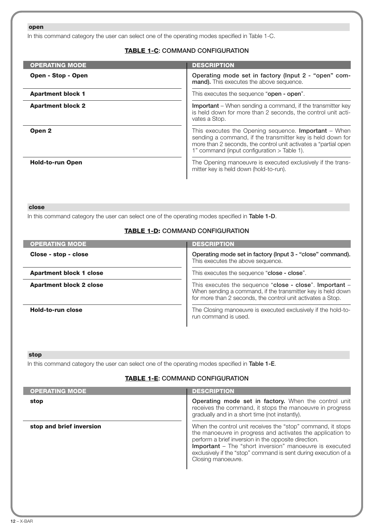## **open**

In this command category the user can select one of the operating modes specified in Table 1-C.

## **TABLE 1-C: COMMAND CONFIGURATION**

| <b>OPERATING MODE</b>    | <b>DESCRIPTION</b>                                                                                                                                                                                                                            |
|--------------------------|-----------------------------------------------------------------------------------------------------------------------------------------------------------------------------------------------------------------------------------------------|
| Open - Stop - Open       | Operating mode set in factory (Input 2 - "open" com-<br>mand). This executes the above sequence.                                                                                                                                              |
| <b>Apartment block 1</b> | This executes the sequence "open - open".                                                                                                                                                                                                     |
| <b>Apartment block 2</b> | <b>Important</b> – When sending a command, if the transmitter key<br>is held down for more than 2 seconds, the control unit acti-<br>vates a Stop.                                                                                            |
| Open <sub>2</sub>        | This executes the Opening sequence. <b>Important</b> $-$ When<br>sending a command, if the transmitter key is held down for<br>more than 2 seconds, the control unit activates a "partial open<br>1" command (input configuration > Table 1). |
| <b>Hold-to-run Open</b>  | The Opening manoeuvre is executed exclusively if the trans-<br>mitter key is held down (hold-to-run).                                                                                                                                         |

#### **close**

In this command category the user can select one of the operating modes specified in **Table 1-D**.

## **TABLE 1-D: COMMAND CONFIGURATION**

| <b>OPERATING MODE</b>          | <b>DESCRIPTION</b>                                                                                                                                                                    |
|--------------------------------|---------------------------------------------------------------------------------------------------------------------------------------------------------------------------------------|
| Close - stop - close           | Operating mode set in factory (Input 3 - "close" command).<br>This executes the above sequence.                                                                                       |
| <b>Apartment block 1 close</b> | This executes the sequence "close - close".                                                                                                                                           |
| <b>Apartment block 2 close</b> | This executes the sequence "close - close". Important -<br>When sending a command, if the transmitter key is held down<br>for more than 2 seconds, the control unit activates a Stop. |
| Hold-to-run close              | The Closing manoeuvre is executed exclusively if the hold-to-<br>run command is used.                                                                                                 |

## **stop**

In this command category the user can select one of the operating modes specified in **Table 1-E**.

## **TABLE 1-E: COMMAND CONFIGURATION**

| <b>OPERATING MODE</b>    | <b>DESCRIPTION</b>                                                                                                                                                                                                                                                                                                                    |
|--------------------------|---------------------------------------------------------------------------------------------------------------------------------------------------------------------------------------------------------------------------------------------------------------------------------------------------------------------------------------|
| stop                     | <b>Operating mode set in factory.</b> When the control unit<br>receives the command, it stops the manoeuvre in progress<br>gradually and in a short time (not instantly).                                                                                                                                                             |
| stop and brief inversion | When the control unit receives the "stop" command, it stops<br>the manoeuvre in progress and activates the application to<br>perform a brief inversion in the opposite direction.<br>Important - The "short inversion" manoeuvre is executed<br>exclusively if the "stop" command is sent during execution of a<br>Closing manoeuvre. |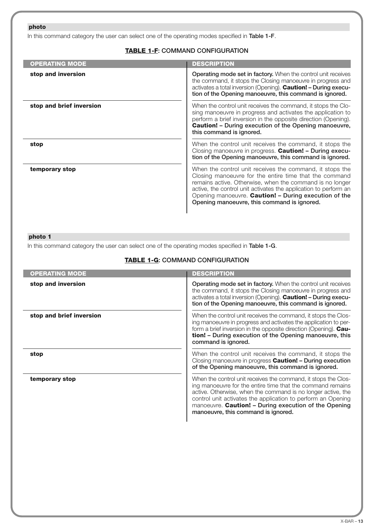## **photo**

In this command category the user can select one of the operating modes specified in **Table 1-F**.

## **TABLE 1-F: COMMAND CONFIGURATION**

| <b>OPERATING MODE</b>    | <b>DESCRIPTION</b>                                                                                                                                                                                                                                                                                                                                         |
|--------------------------|------------------------------------------------------------------------------------------------------------------------------------------------------------------------------------------------------------------------------------------------------------------------------------------------------------------------------------------------------------|
| stop and inversion       | <b>Operating mode set in factory.</b> When the control unit receives<br>the command, it stops the Closing manoeuvre in progress and<br>activates a total inversion (Opening). <b>Caution! - During execu-</b><br>tion of the Opening manoeuvre, this command is ignored.                                                                                   |
| stop and brief inversion | When the control unit receives the command, it stops the Clo-<br>sing manoeuvre in progress and activates the application to<br>perform a brief inversion in the opposite direction (Opening).<br><b>Caution!</b> - During execution of the Opening manoeuvre,<br>this command is ignored.                                                                 |
| stop                     | When the control unit receives the command, it stops the<br>Closing manoeuvre in progress. Caution! - During execu-<br>tion of the Opening manoeuvre, this command is ignored.                                                                                                                                                                             |
| temporary stop           | When the control unit receives the command, it stops the<br>Closing manoeuvre for the entire time that the command<br>remains active. Otherwise, when the command is no longer<br>active, the control unit activates the application to perform an<br>Opening manoeuvre. Caution! - During execution of the<br>Opening manoeuvre, this command is ignored. |

## **photo 1**

In this command category the user can select one of the operating modes specified in **Table 1-G**.

## **TABLE 1-G: COMMAND CONFIGURATION**

| <b>OPERATING MODE</b>    | <b>DESCRIPTION</b>                                                                                                                                                                                                                                                                                                                                           |
|--------------------------|--------------------------------------------------------------------------------------------------------------------------------------------------------------------------------------------------------------------------------------------------------------------------------------------------------------------------------------------------------------|
| stop and inversion       | <b>Operating mode set in factory.</b> When the control unit receives<br>the command, it stops the Closing manoeuvre in progress and<br>activates a total inversion (Opening). Caution! - During execu-<br>tion of the Opening manoeuvre, this command is ignored.                                                                                            |
| stop and brief inversion | When the control unit receives the command, it stops the Clos-<br>ing manoeuvre in progress and activates the application to per-<br>form a brief inversion in the opposite direction (Opening). Cau-<br>tion! - During execution of the Opening manoeuvre, this<br>command is ignored.                                                                      |
| stop                     | When the control unit receives the command, it stops the<br>Closing manoeuvre in progress Caution! - During execution<br>of the Opening manoeuvre, this command is ignored.                                                                                                                                                                                  |
| temporary stop           | When the control unit receives the command, it stops the Clos-<br>ing manoeuvre for the entire time that the command remains<br>active. Otherwise, when the command is no longer active, the<br>control unit activates the application to perform an Opening<br>manoeuvre. Caution! - During execution of the Opening<br>manoeuvre, this command is ignored. |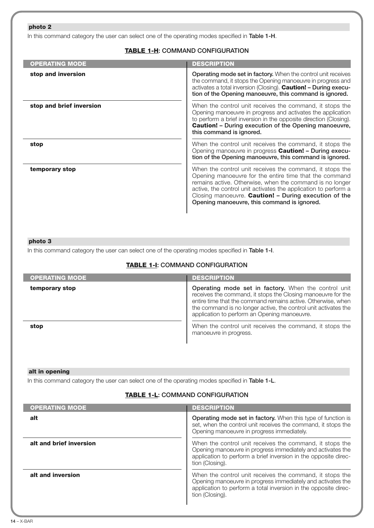## **photo 2**

In this command category the user can select one of the operating modes specified in **Table 1-H**.

## **TABLE 1-H: COMMAND CONFIGURATION**

| <b>OPERATING MODE</b>    | <b>DESCRIPTION</b>                                                                                                                                                                                                                                                                                                                                        |
|--------------------------|-----------------------------------------------------------------------------------------------------------------------------------------------------------------------------------------------------------------------------------------------------------------------------------------------------------------------------------------------------------|
| stop and inversion       | <b>Operating mode set in factory.</b> When the control unit receives<br>the command, it stops the Opening manoeuvre in progress and<br>activates a total inversion (Closing). Caution! - During execu-<br>tion of the Opening manoeuvre, this command is ignored.                                                                                         |
| stop and brief inversion | When the control unit receives the command, it stops the<br>Opening manoeuvre in progress and activates the application<br>to perform a brief inversion in the opposite direction (Closing).<br><b>Caution!</b> - During execution of the Opening manoeuvre,<br>this command is ignored.                                                                  |
| stop                     | When the control unit receives the command, it stops the<br>Opening manoeuvre in progress Caution! - During execu-<br>tion of the Opening manoeuvre, this command is ignored.                                                                                                                                                                             |
| temporary stop           | When the control unit receives the command, it stops the<br>Opening manoeuvre for the entire time that the command<br>remains active. Otherwise, when the command is no longer<br>active, the control unit activates the application to perform a<br>Closing manoeuvre. Caution! - During execution of the<br>Opening manoeuvre, this command is ignored. |

#### **photo 3**

In this command category the user can select one of the operating modes specified in **Table 1-I**.

## **TABLE 1-I: COMMAND CONFIGURATION**

| <b>OPERATING MODE</b> | <b>DESCRIPTION</b>                                                                                                                                                                                                                                                                                      |
|-----------------------|---------------------------------------------------------------------------------------------------------------------------------------------------------------------------------------------------------------------------------------------------------------------------------------------------------|
| temporary stop        | Operating mode set in factory. When the control unit<br>receives the command, it stops the Closing manoeuvre for the<br>entire time that the command remains active. Otherwise, when<br>the command is no longer active, the control unit activates the<br>application to perform an Opening manoeuvre. |
| stop                  | When the control unit receives the command, it stops the<br>manoeuvre in progress.                                                                                                                                                                                                                      |

#### **alt in opening**

In this command category the user can select one of the operating modes specified in **Table 1-L**.

## **TABLE 1-L: COMMAND CONFIGURATION**

| <b>OPERATING MODE</b>   | <b>DESCRIPTION</b>                                                                                                                                                                                            |
|-------------------------|---------------------------------------------------------------------------------------------------------------------------------------------------------------------------------------------------------------|
| alt                     | Operating mode set in factory. When this type of function is<br>set, when the control unit receives the command, it stops the<br>Opening manoeuvre in progress immediately.                                   |
| alt and brief inversion | When the control unit receives the command, it stops the<br>Opening manoeuvre in progress immediately and activates the<br>application to perform a brief inversion in the opposite direc-<br>tion (Closing). |
| alt and inversion       | When the control unit receives the command, it stops the<br>Opening manoeuvre in progress immediately and activates the<br>application to perform a total inversion in the opposite direc-<br>tion (Closing). |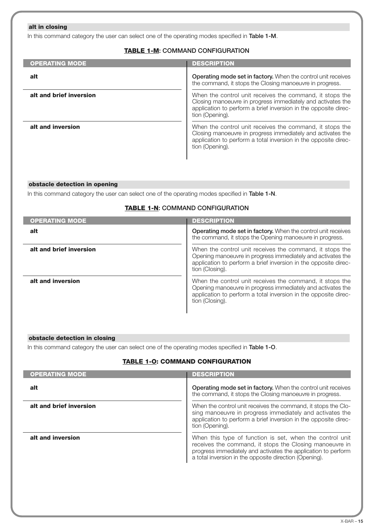## **alt in closing**

In this command category the user can select one of the operating modes specified in **Table 1-M**.

## **TABLE 1-M: COMMAND CONFIGURATION**

| <b>OPERATING MODE</b>   | <b>DESCRIPTION</b>                                                                                                                                                                                            |
|-------------------------|---------------------------------------------------------------------------------------------------------------------------------------------------------------------------------------------------------------|
| alt                     | Operating mode set in factory. When the control unit receives<br>the command, it stops the Closing manoeuvre in progress.                                                                                     |
| alt and brief inversion | When the control unit receives the command, it stops the<br>Closing manoeuvre in progress immediately and activates the<br>application to perform a brief inversion in the opposite direc-<br>tion (Opening). |
| alt and inversion       | When the control unit receives the command, it stops the<br>Closing manoeuvre in progress immediately and activates the<br>application to perform a total inversion in the opposite direc-<br>tion (Opening). |

#### **obstacle detection in opening**

In this command category the user can select one of the operating modes specified in **Table 1-N**.

## **TABLE 1-N: COMMAND CONFIGURATION**

| <b>OPERATING MODE</b>   | <b>DESCRIPTION</b>                                                                                                                                                                                            |
|-------------------------|---------------------------------------------------------------------------------------------------------------------------------------------------------------------------------------------------------------|
| alt                     | Operating mode set in factory. When the control unit receives<br>the command, it stops the Opening manoeuvre in progress.                                                                                     |
| alt and brief inversion | When the control unit receives the command, it stops the<br>Opening manoeuvre in progress immediately and activates the<br>application to perform a brief inversion in the opposite direc-<br>tion (Closing). |
| alt and inversion       | When the control unit receives the command, it stops the<br>Opening manoeuvre in progress immediately and activates the<br>application to perform a total inversion in the opposite direc-<br>tion (Closing). |

#### **obstacle detection in closing**

In this command category the user can select one of the operating modes specified in **Table 1-O**.

## **TABLE 1-O: COMMAND CONFIGURATION**

| <b>OPERATING MODE</b>   | <b>DESCRIPTION</b>                                                                                                                                                                                                                             |
|-------------------------|------------------------------------------------------------------------------------------------------------------------------------------------------------------------------------------------------------------------------------------------|
| alt                     | <b>Operating mode set in factory.</b> When the control unit receives<br>the command, it stops the Closing manoeuvre in progress.                                                                                                               |
| alt and brief inversion | When the control unit receives the command, it stops the Clo-<br>sing manoeuvre in progress immediately and activates the<br>application to perform a brief inversion in the opposite direc-<br>tion (Opening).                                |
| alt and inversion       | When this type of function is set, when the control unit<br>receives the command, it stops the Closing manoeuvre in<br>progress immediately and activates the application to perform<br>a total inversion in the opposite direction (Opening). |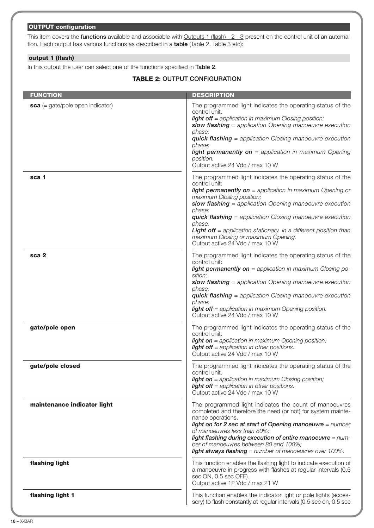## **OUTPUT configuration**

This item covers the **functions** available and associable with Outputs 1 (flash) - 2 - 3 present on the control unit of an automation. Each output has various functions as described in a **table** (Table 2, Table 3 etc):

## **output 1 (flash)**

In this output the user can select one of the functions specified in **Table 2**.

## **TABLE 2: OUTPUT CONFIGURATION**

| <b>FUNCTION</b>                    | <b>DESCRIPTION</b>                                                                                                                                                                                                                                                                                                                                                                                                                                                                 |
|------------------------------------|------------------------------------------------------------------------------------------------------------------------------------------------------------------------------------------------------------------------------------------------------------------------------------------------------------------------------------------------------------------------------------------------------------------------------------------------------------------------------------|
| $sca$ (= gate/pole open indicator) | The programmed light indicates the operating status of the<br>control unit.<br><b>light off</b> = application in maximum Closing position;<br>slow flashing $=$ application Opening manoeuvre execution<br>phase:<br><b>quick flashing</b> = application Closing manoeuvre execution<br>phase;<br><b>light permanently on</b> = application in maximum Opening<br>position.                                                                                                        |
|                                    | Output active 24 Vdc / max 10 W                                                                                                                                                                                                                                                                                                                                                                                                                                                    |
| sca 1                              | The programmed light indicates the operating status of the<br>control unit:<br><b>light permanently on</b> = application in maximum Opening or<br>maximum Closing position;<br>slow flashing = application Opening manoeuvre execution<br>phase;<br><b>quick flashing</b> = application Closing manoeuvre execution<br>phase.<br><b>Light off</b> = application stationary, in a different position than<br>maximum Closing or maximum Opening.<br>Output active 24 Vdc / max 10 W |
| sca 2                              | The programmed light indicates the operating status of the<br>control unit:<br><b>light permanently on</b> = application in maximum Closing po-<br>sition;<br>slow flashing = application Opening manoeuvre execution<br>phase:<br><b>quick flashing</b> = application Closing manoeuvre execution<br>phase:<br><b>light off</b> = application in maximum Opening position.<br>Output active 24 Vdc / max 10 W                                                                     |
| gate/pole open                     | The programmed light indicates the operating status of the<br>control unit.<br><b>light on</b> = application in maximum Opening position;<br><b>light off</b> = application in other positions.<br>Output active 24 Vdc / max 10 W                                                                                                                                                                                                                                                 |
| gate/pole closed                   | The programmed light indicates the operating status of the<br>control unit.<br><b>light on</b> = application in maximum Closing position;<br><b>light off</b> = application in other positions.<br>Output active 24 Vdc / max 10 W                                                                                                                                                                                                                                                 |
| maintenance indicator light        | The programmed light indicates the count of manoeuvres<br>completed and therefore the need (or not) for system mainte-<br>nance operations.<br>light on for 2 sec at start of Opening manoeuvre = number<br>of manoeuvres less than 80%;<br>light flashing during execution of entire manoeuvre = num-<br>ber of manoeuvres between 80 and 100%;<br><b>light always flashing</b> = number of manoeuvres over 100%.                                                                 |
| flashing light                     | This function enables the flashing light to indicate execution of<br>a manoeuvre in progress with flashes at regular intervals (0.5)<br>sec ON, 0.5 sec OFF).<br>Output active 12 Vdc / max 21 W                                                                                                                                                                                                                                                                                   |
| flashing light 1                   | This function enables the indicator light or pole lights (acces-<br>sory) to flash constantly at regular intervals (0.5 sec on, 0.5 sec                                                                                                                                                                                                                                                                                                                                            |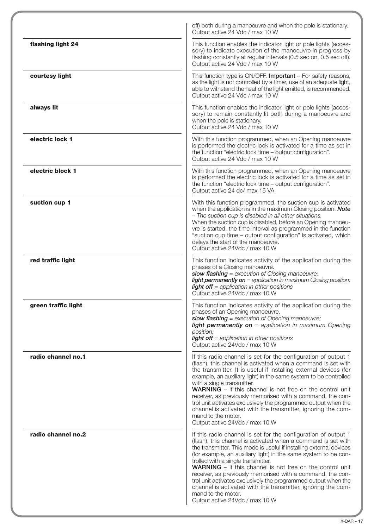|                     | off) both during a manoeuvre and when the pole is stationary.<br>Output active 24 Vdc / max 10 W                                                                                                                                                                                                                                                                                                                                                                                                                                                                                                                                            |
|---------------------|---------------------------------------------------------------------------------------------------------------------------------------------------------------------------------------------------------------------------------------------------------------------------------------------------------------------------------------------------------------------------------------------------------------------------------------------------------------------------------------------------------------------------------------------------------------------------------------------------------------------------------------------|
| flashing light 24   | This function enables the indicator light or pole lights (acces-<br>sory) to indicate execution of the manoeuvre in progress by<br>flashing constantly at regular intervals (0.5 sec on, 0.5 sec off).<br>Output active 24 Vdc / max 10 W                                                                                                                                                                                                                                                                                                                                                                                                   |
| courtesy light      | This function type is ON/OFF. Important - For safety reasons,<br>as the light is not controlled by a timer, use of an adequate light,<br>able to withstand the heat of the light emitted, is recommended.<br>Output active 24 Vdc / max 10 W                                                                                                                                                                                                                                                                                                                                                                                                |
| always lit          | This function enables the indicator light or pole lights (acces-<br>sory) to remain constantly lit both during a manoeuvre and<br>when the pole is stationary.<br>Output active 24 Vdc / max 10 W                                                                                                                                                                                                                                                                                                                                                                                                                                           |
| electric lock 1     | With this function programmed, when an Opening manoeuvre<br>is performed the electric lock is activated for a time as set in<br>the function "electric lock time - output configuration".<br>Output active 24 Vdc / max 10 W                                                                                                                                                                                                                                                                                                                                                                                                                |
| electric block 1    | With this function programmed, when an Opening manoeuvre<br>is performed the electric lock is activated for a time as set in<br>the function "electric lock time - output configuration".<br>Output active 24 dc/ max 15 VA                                                                                                                                                                                                                                                                                                                                                                                                                 |
| suction cup 1       | With this function programmed, the suction cup is activated<br>when the application is in the maximum Closing position. Note<br>- The suction cup is disabled in all other situations.<br>When the suction cup is disabled, before an Opening manoeu-<br>vre is started, the time interval as programmed in the function<br>"suction cup time - output configuration" is activated, which<br>delays the start of the manoeuvre.<br>Output active 24Vdc / max 10 W                                                                                                                                                                           |
| red traffic light   | This function indicates activity of the application during the<br>phases of a Closing manoeuvre.<br>slow flashing = execution of Closing manoeuvre;<br><b>light permanently on</b> = application in maximum Closing position;<br><b>light off</b> = application in other positions<br>Output active 24Vdc / max 10 W                                                                                                                                                                                                                                                                                                                        |
| green traffic light | This function indicates activity of the application during the<br>phases of an Opening manoeuvre.<br>slow flashing = execution of Opening manoeuvre;<br>light permanently on = application in maximum Opening<br>position;<br><b>light off</b> = application in other positions<br>Output active 24Vdc / max 10 W                                                                                                                                                                                                                                                                                                                           |
| radio channel no.1  | If this radio channel is set for the configuration of output 1<br>(flash), this channel is activated when a command is set with<br>the transmitter. It is useful if installing external devices (for<br>example, an auxiliary light) in the same system to be controlled<br>with a single transmitter.<br><b>WARNING</b> - If this channel is not free on the control unit<br>receiver, as previously memorised with a command, the con-<br>trol unit activates exclusively the programmed output when the<br>channel is activated with the transmitter, ignoring the com-<br>mand to the motor.<br>Output active 24Vdc / max 10 W          |
| radio channel no.2  | If this radio channel is set for the configuration of output 1<br>(flash), this channel is activated when a command is set with<br>the transmitter. This mode is useful if installing external devices<br>(for example, an auxiliary light) in the same system to be con-<br>trolled with a single transmitter.<br><b>WARNING</b> - If this channel is not free on the control unit<br>receiver, as previously memorised with a command, the con-<br>trol unit activates exclusively the programmed output when the<br>channel is activated with the transmitter, ignoring the com-<br>mand to the motor.<br>Output active 24Vdc / max 10 W |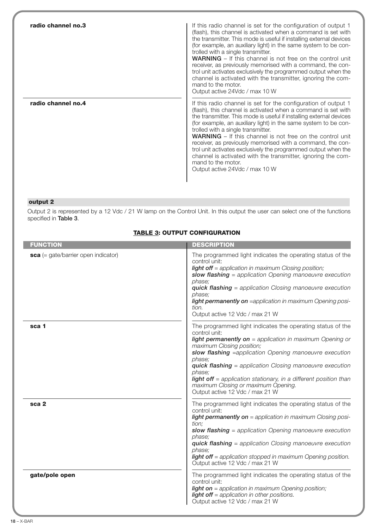| radio channel no.3 | If this radio channel is set for the configuration of output 1<br>(flash), this channel is activated when a command is set with<br>the transmitter. This mode is useful if installing external devices<br>(for example, an auxiliary light) in the same system to be con-<br>trolled with a single transmitter.<br><b>WARNING</b> – If this channel is not free on the control unit<br>receiver, as previously memorised with a command, the con-<br>trol unit activates exclusively the programmed output when the<br>channel is activated with the transmitter, ignoring the com-<br>mand to the motor.<br>Output active 24Vdc / max 10 W |
|--------------------|---------------------------------------------------------------------------------------------------------------------------------------------------------------------------------------------------------------------------------------------------------------------------------------------------------------------------------------------------------------------------------------------------------------------------------------------------------------------------------------------------------------------------------------------------------------------------------------------------------------------------------------------|
| radio channel no.4 | If this radio channel is set for the configuration of output 1<br>(flash), this channel is activated when a command is set with<br>the transmitter. This mode is useful if installing external devices<br>(for example, an auxiliary light) in the same system to be con-<br>trolled with a single transmitter.<br><b>WARNING</b> – If this channel is not free on the control unit<br>receiver, as previously memorised with a command, the con-<br>trol unit activates exclusively the programmed output when the<br>channel is activated with the transmitter, ignoring the com-<br>mand to the motor.<br>Output active 24Vdc / max 10 W |

## **output 2**

Output 2 is represented by a 12 Vdc / 21 W lamp on the Control Unit. In this output the user can select one of the functions specified in **Table 3**.

## **TABLE 3: OUTPUT CONFIGURATION**

| <b>FUNCTION</b>                       | <b>DESCRIPTION</b>                                                                                                                                                                                                                                                                                                                                                                                                                                                                |
|---------------------------------------|-----------------------------------------------------------------------------------------------------------------------------------------------------------------------------------------------------------------------------------------------------------------------------------------------------------------------------------------------------------------------------------------------------------------------------------------------------------------------------------|
| $sca$ (= gate/barrier open indicator) | The programmed light indicates the operating status of the<br>control unit:<br><b>light off</b> = application in maximum Closing position;<br>slow flashing $=$ application Opening manoeuvre execution<br>phase:<br><b>quick flashing</b> = application Closing manoeuvre execution<br>phase:<br>light permanently on =application in maximum Opening posi-<br>tion.<br>Output active 12 Vdc / max 21 W                                                                          |
| sca 1                                 | The programmed light indicates the operating status of the<br>control unit:<br><b>light permanently on</b> = application in maximum Opening or<br>maximum Closing position;<br>slow flashing =application Opening manoeuvre execution<br>phase:<br><b>quick flashing</b> = application Closing manoeuvre execution<br>phase:<br><b>light off</b> = application stationary, in a different position than<br>maximum Closing or maximum Opening.<br>Output active 12 Vdc / max 21 W |
| sca <sub>2</sub>                      | The programmed light indicates the operating status of the<br>control unit:<br><b>light permanently on</b> = application in maximum Closing posi-<br>tion:<br>slow flashing $=$ application Opening manoeuvre execution<br>phase:<br><b>quick flashing</b> = application Closing manoeuvre execution<br>phase;<br><b>light off</b> = application stopped in maximum Opening position.<br>Output active 12 Vdc / max 21 W                                                          |
| gate/pole open                        | The programmed light indicates the operating status of the<br>control unit:<br><b>light on</b> = application in maximum Opening position;<br><b>light off</b> = application in other positions.<br>Output active 12 Vdc / max 21 W                                                                                                                                                                                                                                                |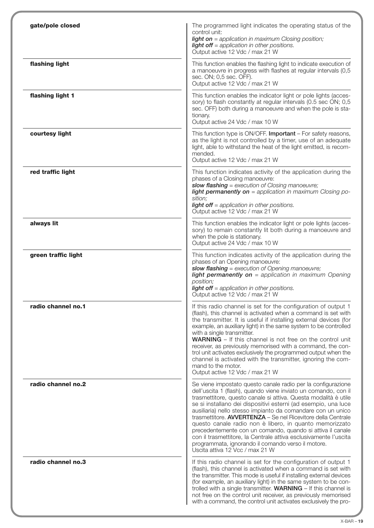| gate/pole closed    | The programmed light indicates the operating status of the<br>control unit:<br><b>light on</b> = application in maximum Closing position;<br><b>light off</b> = application in other positions.<br>Output active 12 Vdc / max 21 W                                                                                                                                                                                                                                                                                                                                                                                                                                                       |
|---------------------|------------------------------------------------------------------------------------------------------------------------------------------------------------------------------------------------------------------------------------------------------------------------------------------------------------------------------------------------------------------------------------------------------------------------------------------------------------------------------------------------------------------------------------------------------------------------------------------------------------------------------------------------------------------------------------------|
| flashing light      | This function enables the flashing light to indicate execution of<br>a manoeuvre in progress with flashes at regular intervals (0,5<br>sec. ON; 0,5 sec. OFF).<br>Output active 12 Vdc / max 21 W                                                                                                                                                                                                                                                                                                                                                                                                                                                                                        |
| flashing light 1    | This function enables the indicator light or pole lights (acces-<br>sory) to flash constantly at regular intervals (0.5 sec ON; 0,5<br>sec. OFF) both during a manoeuvre and when the pole is sta-<br>tionary.<br>Output active 24 Vdc / max 10 W                                                                                                                                                                                                                                                                                                                                                                                                                                        |
| courtesy light      | This function type is ON/OFF. Important - For safety reasons,<br>as the light is not controlled by a timer, use of an adequate<br>light, able to withstand the heat of the light emitted, is recom-<br>mended.<br>Output active 12 Vdc / max 21 W                                                                                                                                                                                                                                                                                                                                                                                                                                        |
| red traffic light   | This function indicates activity of the application during the<br>phases of a Closing manoeuvre:<br>slow flashing = execution of Closing manoeuvre;<br><b>light permanently on</b> = application in maximum Closing po-<br>sition;<br><b>light off</b> = application in other positions.<br>Output active 12 Vdc / max 21 W                                                                                                                                                                                                                                                                                                                                                              |
| always lit          | This function enables the indicator light or pole lights (acces-<br>sory) to remain constantly lit both during a manoeuvre and<br>when the pole is stationary.<br>Output active 24 Vdc / max 10 W                                                                                                                                                                                                                                                                                                                                                                                                                                                                                        |
| green traffic light | This function indicates activity of the application during the<br>phases of an Opening manoeuvre:<br>slow flashing = execution of Opening manoeuvre;<br>light permanently on = application in maximum Opening<br>position;<br><b>light off</b> = application in other positions.<br>Output active 12 Vdc / max 21 W                                                                                                                                                                                                                                                                                                                                                                      |
| radio channel no.1  | If this radio channel is set for the configuration of output 1<br>(flash), this channel is activated when a command is set with<br>the transmitter. It is useful if installing external devices (for<br>example, an auxiliary light) in the same system to be controlled<br>with a single transmitter.<br><b>WARNING</b> – If this channel is not free on the control unit<br>receiver, as previously memorised with a command, the con-<br>trol unit activates exclusively the programmed output when the<br>channel is activated with the transmitter, ignoring the com-<br>mand to the motor.<br>Output active 12 Vdc / max 21 W                                                      |
| radio channel no.2  | Se viene impostato questo canale radio per la configurazione<br>dell'uscita 1 (flash), quando viene inviato un comando, con il<br>trasmettitore, questo canale si attiva. Questa modalità è utile<br>se si installano dei dispositivi esterni (ad esempio, una luce<br>ausiliaria) nello stesso impianto da comandare con un unico<br>trasmettitore. AVVERTENZA - Se nel Ricevitore della Centrale<br>questo canale radio non è libero, in quanto memorizzato<br>precedentemente con un comando, quando si attiva il canale<br>con il trasmettitore, la Centrale attiva esclusivamente l'uscita<br>programmata, ignorando il comando verso il motore.<br>Uscita attiva 12 Vcc / max 21 W |
| radio channel no.3  | If this radio channel is set for the configuration of output 1<br>(flash), this channel is activated when a command is set with<br>the transmitter. This mode is useful if installing external devices<br>(for example, an auxiliary light) in the same system to be con-<br>trolled with a single transmitter. <b>WARNING</b> $-$ If this channel is<br>not free on the control unit receiver, as previously memorised<br>with a command, the control unit activates exclusively the pro-                                                                                                                                                                                               |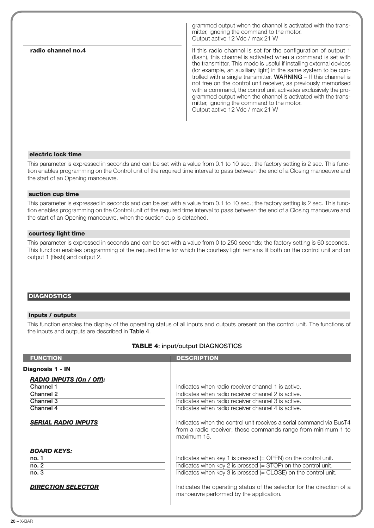**radio channel no.4** grammed output when the channel is activated with the transmitter, ignoring the command to the motor. Output active 12 Vdc / max 21 W If this radio channel is set for the configuration of output 1 (flash), this channel is activated when a command is set with the transmitter. This mode is useful if installing external devices (for example, an auxiliary light) in the same system to be controlled with a single transmitter. **WARNING** – If this channel is not free on the control unit receiver, as previously memorised with a command, the control unit activates exclusively the programmed output when the channel is activated with the transmitter, ignoring the command to the motor. Output active 12 Vdc / max 21 W

#### **electric lock time**

This parameter is expressed in seconds and can be set with a value from 0.1 to 10 sec.; the factory setting is 2 sec. This function enables programming on the Control unit of the required time interval to pass between the end of a Closing manoeuvre and the start of an Opening manoeuvre.

#### **suction cup time**

This parameter is expressed in seconds and can be set with a value from 0.1 to 10 sec.; the factory setting is 2 sec. This function enables programming on the Control unit of the required time interval to pass between the end of a Closing manoeuvre and the start of an Opening manoeuvre, when the suction cup is detached.

#### **courtesy light time**

This parameter is expressed in seconds and can be set with a value from 0 to 250 seconds; the factory setting is 60 seconds. This function enables programming of the required time for which the courtesy light remains lit both on the control unit and on output 1 (flash) and output 2.

#### **DIAGNOSTICS**

#### **inputs / outputs**

This function enables the display of the operating status of all inputs and outputs present on the control unit. The functions of the inputs and outputs are described in **Table 4**.

#### **TABLE 4: input/output DIAGNOSTICS**

| <b>FUNCTION</b>                                                                     | <b>DESCRIPTION</b>                                                                                                                                                                                                                                                                                                            |
|-------------------------------------------------------------------------------------|-------------------------------------------------------------------------------------------------------------------------------------------------------------------------------------------------------------------------------------------------------------------------------------------------------------------------------|
| Diagnosis 1 - IN                                                                    |                                                                                                                                                                                                                                                                                                                               |
| <b>RADIO INPUTS (On / Off):</b><br>Channel 1<br>Channel 2<br>Channel 3<br>Channel 4 | Indicates when radio receiver channel 1 is active.<br>Indicates when radio receiver channel 2 is active.<br>Indicates when radio receiver channel 3 is active.<br>Indicates when radio receiver channel 4 is active.                                                                                                          |
| <b>SERIAL RADIO INPUTS</b>                                                          | Indicates when the control unit receives a serial command via BusT4<br>from a radio receiver; these commands range from minimum 1 to<br>maximum 15.                                                                                                                                                                           |
| <b>BOARD KEYS:</b><br>no. 1<br>no. 2<br>no.3<br><b>DIRECTION SELECTOR</b>           | Indicates when key 1 is pressed $(=$ OPEN $)$ on the control unit.<br>Indicates when key 2 is pressed $(= STOP)$ on the control unit.<br>Indicates when key 3 is pressed $(= CLOSE)$ on the control unit.<br>Indicates the operating status of the selector for the direction of a<br>manoeuvre performed by the application. |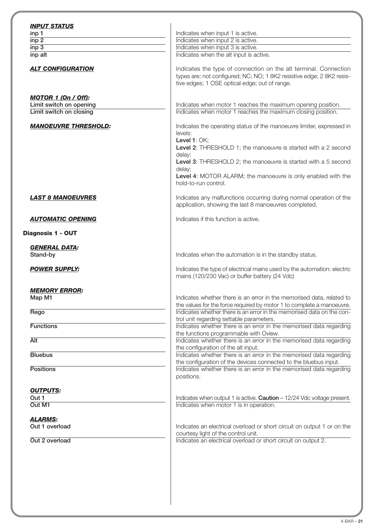| inp 1                                                 | Indicates when input 1 is active.                                                                                                                                                                                                                        |
|-------------------------------------------------------|----------------------------------------------------------------------------------------------------------------------------------------------------------------------------------------------------------------------------------------------------------|
| inp <sub>2</sub>                                      | Indicates when input 2 is active.                                                                                                                                                                                                                        |
| inp <sub>3</sub>                                      | Indicates when input 3 is active.                                                                                                                                                                                                                        |
| inp alt                                               | Indicates when the alt input is active.                                                                                                                                                                                                                  |
| <b>ALT CONFIGURATION</b>                              | Indicates the type of connection on the alt terminal. Connection<br>types are: not configured; NC; NO; 1 8K2 resistive edge; 2 8K2 resis-<br>tive edges; 1 OSE optical edge; out of range.                                                               |
| <b>MOTOR 1 (On / Off):</b><br>Limit switch on opening |                                                                                                                                                                                                                                                          |
|                                                       | Indicates when motor 1 reaches the maximum opening position.                                                                                                                                                                                             |
| Limit switch on closing                               | Indicates when motor 1 reaches the maximum closing position.                                                                                                                                                                                             |
| <b>MANOEUVRE THRESHOLD:</b>                           | Indicates the operating status of the manoeuvre limiter, expressed in<br>levels:<br>Level 1: OK;<br>Level 2: THRESHOLD 1; the manoeuvre is started with a 2 second<br>delay;<br>Level 3: THRESHOLD 2; the manoeuvre is started with a 5 second<br>delay; |
|                                                       | Level 4: MOTOR ALARM; the manoeuvre is only enabled with the<br>hold-to-run control.                                                                                                                                                                     |
| <b>LAST 8 MANOEUVRES</b>                              | Indicates any malfunctions occurring during normal operation of the<br>application, showing the last 8 manoeuvres completed.                                                                                                                             |
| <b>AUTOMATIC OPENING</b>                              | Indicates if this function is active.                                                                                                                                                                                                                    |
| Diagnosis 1 - OUT                                     |                                                                                                                                                                                                                                                          |
| <b>GENERAL DATA:</b><br>Stand-by                      | Indicates when the automation is in the standby status.                                                                                                                                                                                                  |
|                                                       |                                                                                                                                                                                                                                                          |
| <b>POWER SUPPLY:</b>                                  | Indicates the type of electrical mains used by the automation: electric<br>mains (120/230 Vac) or buffer battery (24 Vdc)                                                                                                                                |
| <b>MEMORY ERROR:</b><br>Map M1                        | Indicates whether there is an error in the memorised data, related to<br>the values for the force required by motor 1 to complete a manoeuvre.                                                                                                           |
| Rego                                                  | Indicates whether there is an error in the memorised data on the con-<br>trol unit regarding settable parameters.                                                                                                                                        |
| <b>Functions</b>                                      | Indicates whether there is an error in the memorised data regarding<br>the functions programmable with Oview.                                                                                                                                            |
| <b>Alt</b>                                            | Indicates whether there is an error in the memorised data regarding<br>the configuration of the alt input.                                                                                                                                               |
| <b>Bluebus</b>                                        | Indicates whether there is an error in the memorised data regarding<br>the configuration of the devices connected to the bluebus input.                                                                                                                  |
| <b>Positions</b>                                      | Indicates whether there is an error in the memorised data regarding<br>positions.                                                                                                                                                                        |
| <b>OUTPUTS:</b>                                       |                                                                                                                                                                                                                                                          |
| Out 1<br>Out M1                                       | Indicates when output 1 is active. Caution - 12/24 Vdc voltage present.<br>Indicates when motor 1 is in operation.                                                                                                                                       |
|                                                       |                                                                                                                                                                                                                                                          |
| <b>ALARMS:</b><br>Out 1 overload                      | Indicates an electrical overload or short circuit on output 1 or on the                                                                                                                                                                                  |
| Out 2 overload                                        | courtesy light of the control unit.<br>Indicates an electrical overload or short circuit on output 2.                                                                                                                                                    |
|                                                       |                                                                                                                                                                                                                                                          |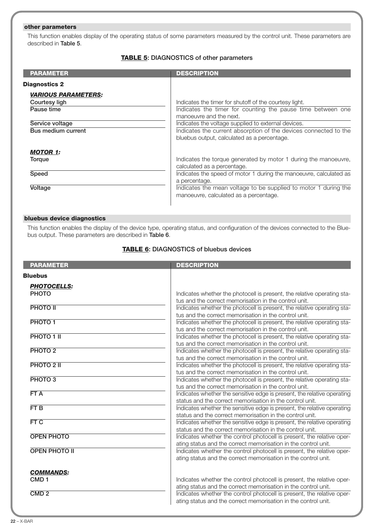## **other parameters**

This function enables display of the operating status of some parameters measured by the control unit. These parameters are described in **Table 5**.

## **TABLE 5: DIAGNOSTICS of other parameters**

| <b>PARAMETER</b>                                                                                          | <b>DESCRIPTION</b>                                                                                                                                                                                                                                                                                                         |
|-----------------------------------------------------------------------------------------------------------|----------------------------------------------------------------------------------------------------------------------------------------------------------------------------------------------------------------------------------------------------------------------------------------------------------------------------|
| <b>Diagnostics 2</b>                                                                                      |                                                                                                                                                                                                                                                                                                                            |
| <i><b>VARIOUS PARAMETERS:</b></i><br>Courtesy ligh<br>Pause time<br>Service voltage<br>Bus medium current | Indicates the timer for shutoff of the courtesy light.<br>Indicates the timer for counting the pause time between one<br>manoeuvre and the next.<br>Indicates the voltage supplied to external devices.<br>Indicates the current absorption of the devices connected to the<br>bluebus output, calculated as a percentage. |
| <b>MOTOR 1:</b><br>Torque<br>Speed<br>Voltage                                                             | Indicates the torque generated by motor 1 during the manoeuvre,<br>calculated as a percentage.<br>Indicates the speed of motor 1 during the manoeuvre, calculated as<br>a percentage.<br>Indicates the mean voltage to be supplied to motor 1 during the<br>manoeuvre, calculated as a percentage.                         |

## **bluebus device diagnostics**

This function enables the display of the device type, operating status, and configuration of the devices connected to the Bluebus output. These parameters are described in **Table 6**.

## **TABLE 6: DIAGNOSTICS of bluebus devices**

| <b>PARAMETER</b>     | <b>DESCRIPTION</b>                                                                                                                       |
|----------------------|------------------------------------------------------------------------------------------------------------------------------------------|
| <b>Bluebus</b>       |                                                                                                                                          |
| <b>PHOTOCELLS:</b>   |                                                                                                                                          |
| <b>PHOTO</b>         | Indicates whether the photocell is present, the relative operating sta-                                                                  |
|                      | tus and the correct memorisation in the control unit.                                                                                    |
| <b>PHOTO II</b>      | Indicates whether the photocell is present, the relative operating sta-                                                                  |
|                      | tus and the correct memorisation in the control unit.                                                                                    |
| PHOTO <sub>1</sub>   | Indicates whether the photocell is present, the relative operating sta-                                                                  |
|                      | tus and the correct memorisation in the control unit.                                                                                    |
| PHOTO 1 II           | Indicates whether the photocell is present, the relative operating sta-                                                                  |
|                      | tus and the correct memorisation in the control unit.                                                                                    |
| PHOTO <sub>2</sub>   | Indicates whether the photocell is present, the relative operating sta-                                                                  |
|                      | tus and the correct memorisation in the control unit.                                                                                    |
| PHOTO 2 II           | Indicates whether the photocell is present, the relative operating sta-                                                                  |
|                      | tus and the correct memorisation in the control unit.                                                                                    |
| PHOTO <sub>3</sub>   | Indicates whether the photocell is present, the relative operating sta-                                                                  |
|                      | tus and the correct memorisation in the control unit.                                                                                    |
| FTA                  | Indicates whether the sensitive edge is present, the relative operating                                                                  |
|                      | status and the correct memorisation in the control unit.                                                                                 |
| FT <sub>B</sub>      | Indicates whether the sensitive edge is present, the relative operating                                                                  |
|                      | status and the correct memorisation in the control unit.                                                                                 |
| FTC                  | Indicates whether the sensitive edge is present, the relative operating                                                                  |
| <b>OPEN PHOTO</b>    | status and the correct memorisation in the control unit.                                                                                 |
|                      | Indicates whether the control photocell is present, the relative oper-<br>ating status and the correct memorisation in the control unit. |
| <b>OPEN PHOTO II</b> | Indicates whether the control photocell is present, the relative oper-                                                                   |
|                      | ating status and the correct memorisation in the control unit.                                                                           |
|                      |                                                                                                                                          |
| <b>COMMANDS:</b>     |                                                                                                                                          |
| CMD <sub>1</sub>     | Indicates whether the control photocell is present, the relative oper-                                                                   |
|                      | ating status and the correct memorisation in the control unit.                                                                           |
| CMD <sub>2</sub>     | Indicates whether the control photocell is present, the relative oper-                                                                   |
|                      | ating status and the correct memorisation in the control unit.                                                                           |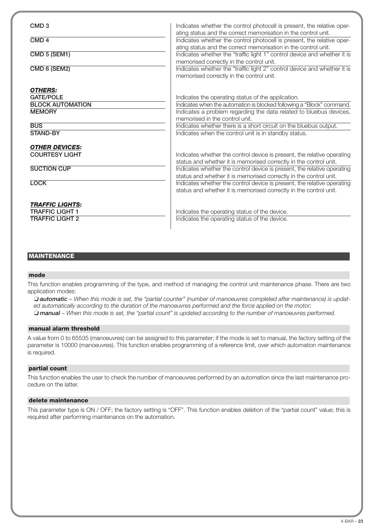| CMD <sub>3</sub><br>CMD <sub>4</sub><br>CMD 5 (SEM1)<br>CMD 6 (SEM2)                                     | Indicates whether the control photocell is present, the relative oper-<br>ating status and the correct memorisation in the control unit.<br>Indicates whether the control photocell is present, the relative oper-<br>ating status and the correct memorisation in the control unit.<br>Indicates whether the "traffic light 1" control device and whether it is<br>memorised correctly in the control unit.<br>Indicates whether the "traffic light 2" control device and whether it is<br>memorised correctly in the control unit. |
|----------------------------------------------------------------------------------------------------------|--------------------------------------------------------------------------------------------------------------------------------------------------------------------------------------------------------------------------------------------------------------------------------------------------------------------------------------------------------------------------------------------------------------------------------------------------------------------------------------------------------------------------------------|
| <b>OTHERS:</b><br><b>GATE/POLE</b><br><b>BLOCK AUTOMATION</b><br><b>MEMORY</b><br><b>BUS</b><br>STAND-BY | Indicates the operating status of the application.<br>Indicates when the automation is blocked following a "Block" command.<br>Indicates a problem regarding the data related to bluebus devices,<br>memorised in the control unit.<br>Indicates whether there is a short circuit on the bluebus output.<br>Indicates when the control unit is in standby status.                                                                                                                                                                    |
| <b>OTHER DEVICES:</b><br><b>COURTESY LIGHT</b><br><b>SUCTION CUP</b><br><b>LOCK</b>                      | Indicates whether the control device is present, the relative operating<br>status and whether it is memorised correctly in the control unit.<br>Indicates whether the control device is present, the relative operating<br>status and whether it is memorised correctly in the control unit.<br>Indicates whether the control device is present, the relative operating<br>status and whether it is memorised correctly in the control unit.                                                                                         |
| <b>TRAFFIC LIGHTS:</b><br><b>TRAFFIC LIGHT 1</b><br><b>TRAFFIC LIGHT 2</b>                               | Indicates the operating status of the device.<br>Indicates the operating status of the device.                                                                                                                                                                                                                                                                                                                                                                                                                                       |

## **MAINTENANCE**

#### **mode**

This function enables programming of the type, and method of managing the control unit maintenance phase. There are two application modes:

❏ *automatic – When this mode is set, the "partial counter" (number of manoeuvres completed after maintenance) is updated automatically according to the duration of the manoeuvres performed and the force applied on the motor;* ❏ *manual – When this mode is set, the "partial count" is updated according to the number of manoeuvres performed.*

#### **manual alarm threshold**

A value from 0 to 65535 (manoeuvres) can be assigned to this parameter; if the mode is set to manual, the factory setting of the parameter is 10000 (manoeuvres). This function enables programming of a reference limit, over which automation maintenance is required.

#### **partial count**

This function enables the user to check the number of manoeuvres performed by an automation since the last maintenance procedure on the latter.

#### **delete maintenance**

This parameter type is ON / OFF; the factory setting is "OFF". This function enables deletion of the "partial count" value; this is required after performing maintenance on the automation.